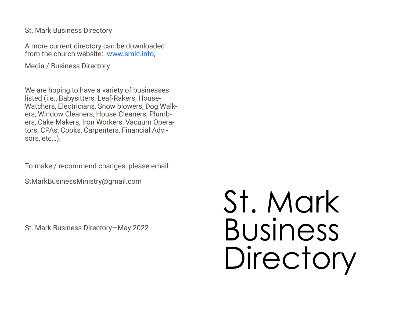St. Mark Business Directory

A more current directory can be downloaded from the church website: [www.smlc.info,](http://www.smlc.info)

Media / Business Directory

We are hoping to have a variety of businesses listed (i.e., Babysitters, Leaf-Rakers, House-Watchers, Electricians, Snow blowers, Dog Walkers, Window Cleaners, House Cleaners, Plumbers, Cake Makers, Iron Workers, Vacuum Operators, CPAs, Cooks, Carpenters, Financial Advisors, etc…).

To make / recommend changes, please email:

StMarkBusinessMinistry@gmail.com

St. Mark Business Directory—May 2022

# St. Mark Business Directory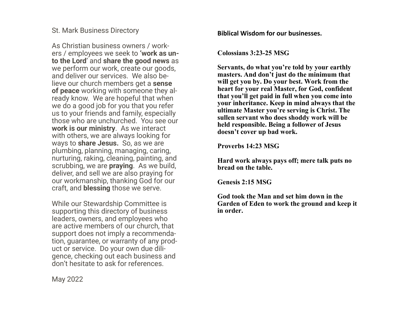#### St. Mark Business Directory

As Christian business owners / workers / employees we seek to **'work as unto the Lord**' and **share the good news** as we perform our work, create our goods, and deliver our services. We also believe our church members get a **sense of peace** working with someone they already know. We are hopeful that when we do a good job for you that you refer us to your friends and family, especially those who are unchurched. You see our **work is our ministry**. As we interact with others, we are always looking for ways to **share Jesus.** So, as we are plumbing, planning, managing, caring, nurturing, raking, cleaning, painting, and scrubbing, we are **praying**. As we build, deliver, and sell we are also praying for our workmanship, thanking God for our craft, and **blessing** those we serve.

While our Stewardship Committee is supporting this directory of business leaders, owners, and employees who are active members of our church, that support does not imply a recommendation, guarantee, or warranty of any product or service. Do your own due diligence, checking out each business and don't hesitate to ask for references.

**Biblical Wisdom for our businesses.**

**Colossians 3:23-25 MSG**

**Servants, do what you're told by your earthly masters. And don't just do the minimum that will get you by. Do your best. Work from the heart for your real Master, for God, confident that you'll get paid in full when you come into your inheritance. Keep in mind always that the ultimate Master you're serving is Christ. The sullen servant who does shoddy work will be held responsible. Being a follower of Jesus doesn't cover up bad work.** 

**Proverbs 14:23 MSG**

**Hard work always pays off; mere talk puts no bread on the table.** 

**Genesis 2:15 MSG**

**God took the Man and set him down in the Garden of Eden to work the ground and keep it in order.** 

May 2022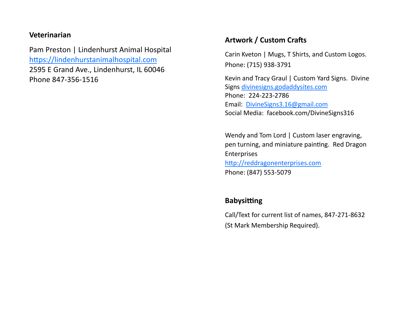#### **Veterinarian**

Pam Preston | Lindenhurst Animal Hospital <https://lindenhurstanimalhospital.com> 2595 E Grand Ave., Lindenhurst, IL 60046 Phone 847-356-[1516](tel:8473561516)

#### **Artwork / Custom Crafts**

Carin Kveton | Mugs, T Shirts, and Custom Logos. Phone: (715) 938-3791

Kevin and Tracy Graul | Custom Yard Signs. Divine Signs [divinesigns.godaddysites.com](mailto:divinesigns.godaddysites.com)  Phone: 224-223-2786 Email: [DivineSigns3.16@gmail.com](mailto:DivineSigns3.16@gmail.com) Social Media: facebook.com/DivineSigns316

Wendy and Tom Lord | Custom laser engraving, pen turning, and miniature painting. Red Dragon Enterprises <http://reddragonenterprises.com> Phone: (847) 553-5079

## **Babysitting**

Call/Text for current list of names, 847-271-8632 (St Mark Membership Required).